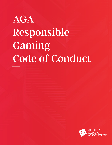# AGA Responsible Gaming Code of Conduct

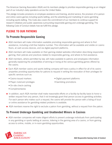The American Gaming Association (AGA) and its members pledge to prioritize responsible gaming as an integral part of our industry's daily operations across the United States.

This pledge includes provisions on employee assistance and training, alcohol service, the provision of in-person and online casino games including sports betting, and the advertising and marketing of casino gambling including sports betting. This Code also covers the commitment of our members to continue support for research initiatives and public awareness surrounding responsible gaming and underage gambling. The following Code of Conduct details how we fulfill this pledge.

# **PLEDGE TO OUR PATRONS**

## **To Promote Responsible Gaming**

- AGA members will make information available promoting responsible gaming and where to find assistance, including a toll-free helpline number. This information will be available and visible on casino floors, at cash access devices, and via digital payment platforms.
- AGA members will make available on their gaming-related websites information describing responsible gaming, their policies and practices related to responsible gaming, and where to find assistance.
- AGA members, where permitted by law, will make available to patrons and employees information generally explaining the probabilities of winning or losing at the various gambling games offered by the casino.
- Each AGA member casino and sports betting company will have a policy in effect for all of its casino properties providing opportunities for patrons to request in writing the revocation of their privileges for specific services such as:
	- Casino-issued markers

• Digital payment platforms

• Player club/card privileges

• Gambling promotions

- On-site check-cashing
- Complimentaries
- In addition, each AGA member shall make reasonable efforts on a facility-by-facility basis to honor a written request from any person, that it not knowingly grant that person access to gambling activities. For each person who makes such a request, the casino will provide the person with a listing of local or online assistance for gambling-related problems is available.
- AGA members reserve the right to exclude a patron from gambling, without a request from the patron.

## **To Prevent Underage Gambling and Unattended Minors in Casinos**

**AGA** member companies will make diligent efforts to prevent underage individuals from participating in any gambling or sports betting at casinos, loitering in the gaming area of a casino, or from gaining access to online, mobile, or in-room gambling opportunities.

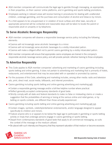- AGA member companies will communicate the legal age to gamble through messaging, as appropriate, in their properties, on their casinos' online platforms, and in gambling and sports betting promotions.
- **Employees working in relevant areas will receive training in procedures for dealing with unattended** children, underage gambling, and the purchase and consumption of alcohol and tobacco by minors.
- If a child appears to be unsupervised or in violation of local curfews and other laws, security or appropriate personnel will be contacted and reasonable steps will be taken to locate the parent or responsible adult on property or by telephone.

## **To Serve Alcoholic Beverages Responsibly**

- AGA member companies will observe a responsible beverage service policy including the following elements:
	- Casinos will not knowingly serve alcoholic beverages to a minor.
	- Casinos will not knowingly serve alcoholic beverages to a visibly intoxicated patron.
	- Casinos will make a diligent effort not to permit casino gambling by a visibly intoxicated patron.
- AGA member companies will ensure that appropriate casino employees are trained in the company's responsible alcoholic beverage service policy, and will provide periodic refresher training to those employees.

#### **To Advertise Responsibly**

- This Code applies to AGA member companies' advertising and marketing of casino gambling including sports betting and online gaming. It does not pertain to advertising and marketing that is primarily of hotels, restaurants, and entertainment that may be associated with or operated or promoted by casinos.
- For the purposes of this Code, advertising and marketing includes, among other media: radio and television ads, print, direct mail, social media, billboards, and internet promotions.
- Casino gambling including sports betting and online gaming advertising and marketing will:
	- Contain a responsible gaming message and/or a toll-free helpline number where practical.
	- Reflect generally accepted contemporary standards of good taste.
	- Strictly comply with all state and federal standards to make no false or misleading claims or create a suggestion that the probabilities of winning or losing at the various online and retail games, or by betting on sports contests, are different than those actually experienced.
- Casino gambling including sports betting and online gaming advertising and marketing will not:
	- Contain images, symbols, celebrity/entertainer endorsements, and/or language designed to appeal specifically to children and minors.
	- Feature anyone who is or appears to be below the legal age to participate in gambling or sports betting activity or imply that underage persons engage in casino gambling or sports betting.
	- Depart from contemporary standards of good taste that apply to all commercial messaging, as suits the context of the message or the medium utilized.
	- Be placed with such intensity and frequency that they represent saturation of that medium or become excessive.